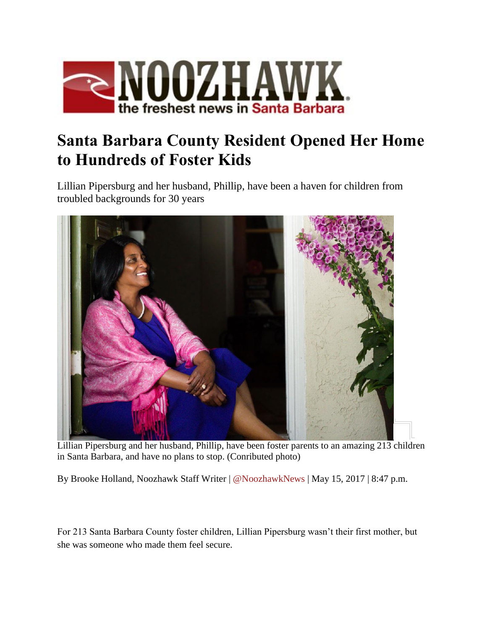

## **Santa Barbara County Resident Opened Her Home to Hundreds of Foster Kids**

Lillian Pipersburg and her husband, Phillip, have been a haven for children from troubled backgrounds for 30 years



Lillian Pipersburg and her husband, Phillip, have been foster parents to an amazing 213 children in Santa Barbara, and have no plans to stop. (Conributed photo)

By Brooke Holland, Noozhawk Staff Writer | [@NoozhawkNews](http://twitter.com/noozhawknews) | May 15, 2017 | 8:47 p.m.

For 213 Santa Barbara County foster children, Lillian Pipersburg wasn't their first mother, but she was someone who made them feel secure.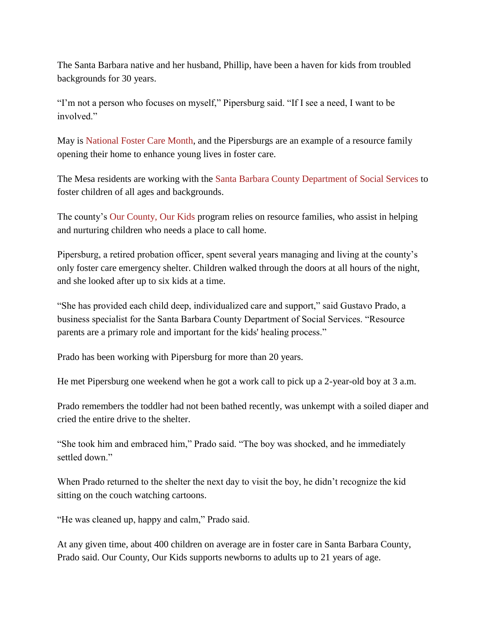The Santa Barbara native and her husband, Phillip, have been a haven for kids from troubled backgrounds for 30 years.

"I'm not a person who focuses on myself," Pipersburg said. "If I see a need, I want to be involved."

May is [National Foster Care Month,](https://www.childwelfare.gov/fostercaremonth/) and the Pipersburgs are an example of a resource family opening their home to enhance young lives in foster care.

The Mesa residents are working with the [Santa Barbara County Department of Social Services](http://cosb.countyofsb.org/social_services/) to foster children of all ages and backgrounds.

The county's [Our County, Our Kids](http://ourcountyourkids.org/) program relies on resource families, who assist in helping and nurturing children who needs a place to call home.

Pipersburg, a retired probation officer, spent several years managing and living at the county's only foster care emergency shelter. Children walked through the doors at all hours of the night, and she looked after up to six kids at a time.

"She has provided each child deep, individualized care and support," said Gustavo Prado, a business specialist for the Santa Barbara County Department of Social Services. "Resource parents are a primary role and important for the kids' healing process."

Prado has been working with Pipersburg for more than 20 years.

He met Pipersburg one weekend when he got a work call to pick up a 2-year-old boy at 3 a.m.

Prado remembers the toddler had not been bathed recently, was unkempt with a soiled diaper and cried the entire drive to the shelter.

"She took him and embraced him," Prado said. "The boy was shocked, and he immediately settled down."

When Prado returned to the shelter the next day to visit the boy, he didn't recognize the kid sitting on the couch watching cartoons.

"He was cleaned up, happy and calm," Prado said.

At any given time, about 400 children on average are in foster care in Santa Barbara County, Prado said. Our County, Our Kids supports newborns to adults up to 21 years of age.